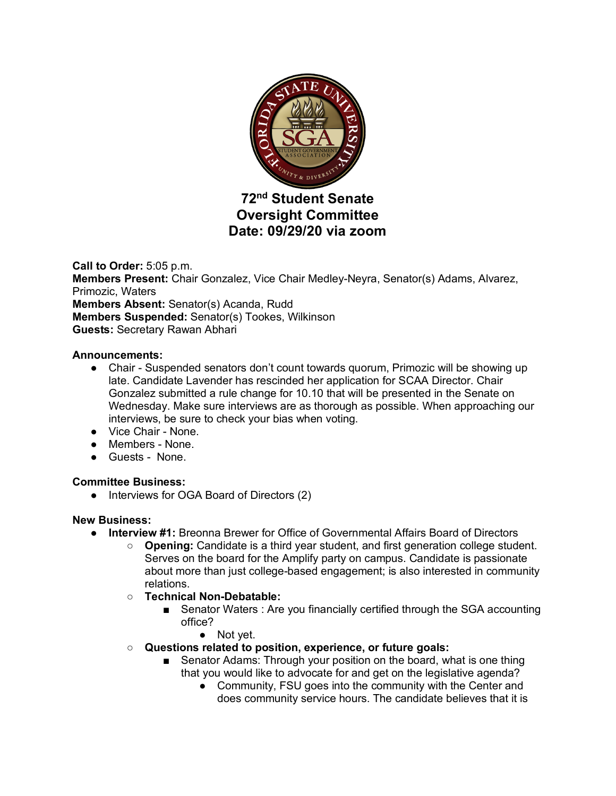

# **72nd Student Senate Oversight Committee Date: 09/29/20 via zoom**

**Call to Order:** 5:05 p.m. **Members Present:** Chair Gonzalez, Vice Chair Medley-Neyra, Senator(s) Adams, Alvarez, Primozic, Waters **Members Absent:** Senator(s) Acanda, Rudd **Members Suspended:** Senator(s) Tookes, Wilkinson **Guests:** Secretary Rawan Abhari

## **Announcements:**

- Chair Suspended senators don't count towards quorum, Primozic will be showing up late. Candidate Lavender has rescinded her application for SCAA Director. Chair Gonzalez submitted a rule change for 10.10 that will be presented in the Senate on Wednesday. Make sure interviews are as thorough as possible. When approaching our interviews, be sure to check your bias when voting.
- Vice Chair None.
- Members None.
- Guests None.

## **Committee Business:**

• Interviews for OGA Board of Directors (2)

## **New Business:**

- **Interview #1:** Breonna Brewer for Office of Governmental Affairs Board of Directors
	- **Opening:** Candidate is a third year student, and first generation college student. Serves on the board for the Amplify party on campus. Candidate is passionate about more than just college-based engagement; is also interested in community relations.
	- **Technical Non-Debatable:**
		- Senator Waters : Are you financially certified through the SGA accounting office?
			- Not yet.
	- **Questions related to position, experience, or future goals:**
		- Senator Adams: Through your position on the board, what is one thing that you would like to advocate for and get on the legislative agenda?
			- Community, FSU goes into the community with the Center and does community service hours. The candidate believes that it is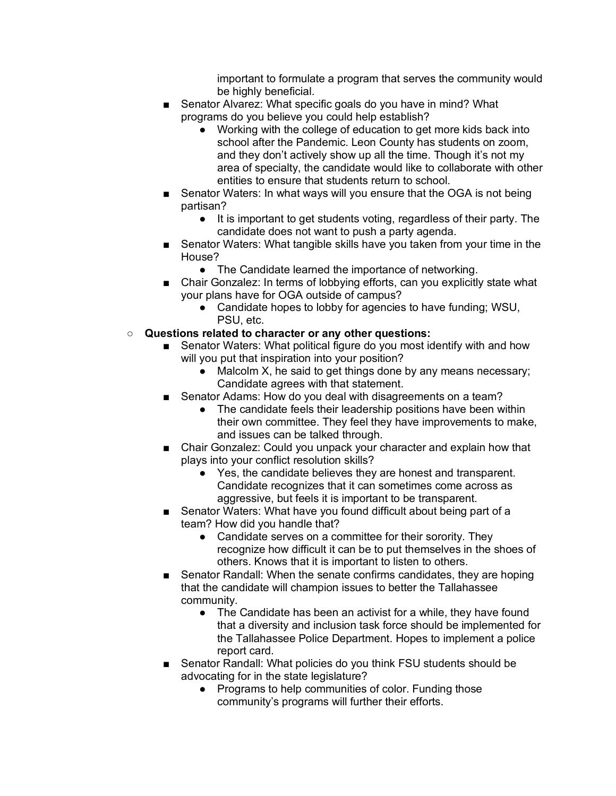important to formulate a program that serves the community would be highly beneficial.

- Senator Alvarez: What specific goals do you have in mind? What programs do you believe you could help establish?
	- Working with the college of education to get more kids back into school after the Pandemic. Leon County has students on zoom, and they don't actively show up all the time. Though it's not my area of specialty, the candidate would like to collaborate with other entities to ensure that students return to school.
- Senator Waters: In what ways will you ensure that the OGA is not being partisan?
	- It is important to get students voting, regardless of their party. The candidate does not want to push a party agenda.
- Senator Waters: What tangible skills have you taken from your time in the House?
	- The Candidate learned the importance of networking.
- Chair Gonzalez: In terms of lobbying efforts, can you explicitly state what your plans have for OGA outside of campus?
	- Candidate hopes to lobby for agencies to have funding; WSU, PSU, etc.
- **Questions related to character or any other questions:**
	- Senator Waters: What political figure do you most identify with and how will you put that inspiration into your position?
		- Malcolm X, he said to get things done by any means necessary; Candidate agrees with that statement.
	- Senator Adams: How do you deal with disagreements on a team?
		- The candidate feels their leadership positions have been within their own committee. They feel they have improvements to make, and issues can be talked through.
	- Chair Gonzalez: Could you unpack your character and explain how that plays into your conflict resolution skills?
		- Yes, the candidate believes they are honest and transparent. Candidate recognizes that it can sometimes come across as aggressive, but feels it is important to be transparent.
	- Senator Waters: What have you found difficult about being part of a team? How did you handle that?
		- Candidate serves on a committee for their sorority. They recognize how difficult it can be to put themselves in the shoes of others. Knows that it is important to listen to others.
	- Senator Randall: When the senate confirms candidates, they are hoping that the candidate will champion issues to better the Tallahassee community.
		- The Candidate has been an activist for a while, they have found that a diversity and inclusion task force should be implemented for the Tallahassee Police Department. Hopes to implement a police report card.
	- Senator Randall: What policies do you think FSU students should be advocating for in the state legislature?
		- Programs to help communities of color. Funding those community's programs will further their efforts.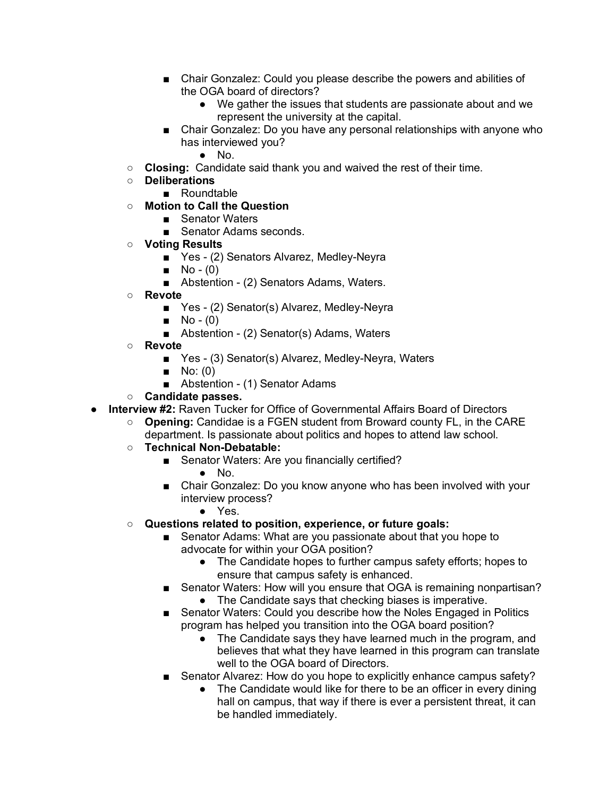- Chair Gonzalez: Could you please describe the powers and abilities of the OGA board of directors?
	- We gather the issues that students are passionate about and we represent the university at the capital.
- Chair Gonzalez: Do you have any personal relationships with anyone who has interviewed you?
	- No.
- **Closing:** Candidate said thank you and waived the rest of their time.
- **Deliberations**
	- Roundtable
- **Motion to Call the Question**
	- Senator Waters
	- Senator Adams seconds.
- **Voting Results**
	- Yes (2) Senators Alvarez, Medley-Neyra
	- $\blacksquare$  No (0)
	- Abstention (2) Senators Adams, Waters.
- **Revote**
	- Yes (2) Senator(s) Alvarez, Medley-Neyra
	- $\blacksquare$  No (0)
	- Abstention (2) Senator(s) Adams, Waters
- **Revote**
	- Yes (3) Senator(s) Alvarez, Medley-Neyra, Waters
	- $\blacksquare$  No: (0)
	- Abstention (1) Senator Adams
- **Candidate passes.**
- **Interview #2:** Raven Tucker for Office of Governmental Affairs Board of Directors
	- **Opening:** Candidae is a FGEN student from Broward county FL, in the CARE department. Is passionate about politics and hopes to attend law school.
	- **Technical Non-Debatable:**
		- Senator Waters: Are you financially certified?
			- No.
		- Chair Gonzalez: Do you know anyone who has been involved with your interview process?
			- Yes.
	- **Questions related to position, experience, or future goals:**
		- Senator Adams: What are you passionate about that you hope to advocate for within your OGA position?
			- The Candidate hopes to further campus safety efforts; hopes to ensure that campus safety is enhanced.
		- Senator Waters: How will you ensure that OGA is remaining nonpartisan?
			- The Candidate says that checking biases is imperative.
		- Senator Waters: Could you describe how the Noles Engaged in Politics program has helped you transition into the OGA board position?
			- The Candidate says they have learned much in the program, and believes that what they have learned in this program can translate well to the OGA board of Directors.
		- Senator Alvarez: How do you hope to explicitly enhance campus safety?
			- The Candidate would like for there to be an officer in every dining hall on campus, that way if there is ever a persistent threat, it can be handled immediately.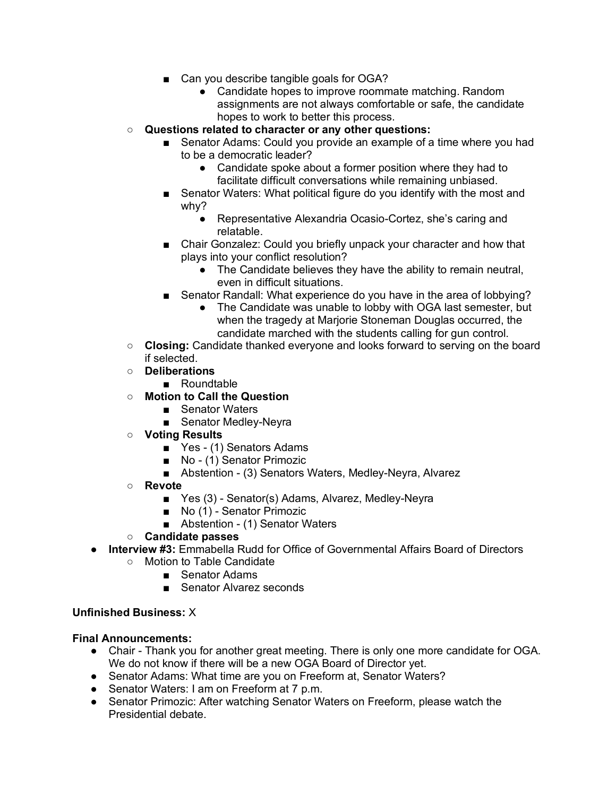- Can you describe tangible goals for OGA?
	- Candidate hopes to improve roommate matching. Random assignments are not always comfortable or safe, the candidate hopes to work to better this process.
- **Questions related to character or any other questions:**
	- Senator Adams: Could you provide an example of a time where you had to be a democratic leader?
		- Candidate spoke about a former position where they had to facilitate difficult conversations while remaining unbiased.
	- Senator Waters: What political figure do you identify with the most and why?
		- Representative Alexandria Ocasio-Cortez, she's caring and relatable.
	- Chair Gonzalez: Could you briefly unpack your character and how that plays into your conflict resolution?
		- The Candidate believes they have the ability to remain neutral, even in difficult situations.
	- Senator Randall: What experience do you have in the area of lobbying?
		- The Candidate was unable to lobby with OGA last semester, but when the tragedy at Marjorie Stoneman Douglas occurred, the candidate marched with the students calling for gun control.
- **Closing:** Candidate thanked everyone and looks forward to serving on the board if selected.
- **Deliberations**
	- Roundtable
- **Motion to Call the Question**
	- Senator Waters
	- Senator Medley-Neyra
- **Voting Results**
	- Yes (1) Senators Adams
	- No (1) Senator Primozic
	- Abstention (3) Senators Waters, Medley-Neyra, Alvarez
- **Revote**
	- Yes (3) Senator(s) Adams, Alvarez, Medley-Neyra
	- No (1) Senator Primozic
	- Abstention (1) Senator Waters
- **Candidate passes**
- **Interview #3:** Emmabella Rudd for Office of Governmental Affairs Board of Directors
	- Motion to Table Candidate
		- Senator Adams
		- Senator Alvarez seconds

## **Unfinished Business:** X

## **Final Announcements:**

- Chair Thank you for another great meeting. There is only one more candidate for OGA. We do not know if there will be a new OGA Board of Director yet.
- Senator Adams: What time are you on Freeform at, Senator Waters?
- Senator Waters: I am on Freeform at 7 p.m.
- Senator Primozic: After watching Senator Waters on Freeform, please watch the Presidential debate.